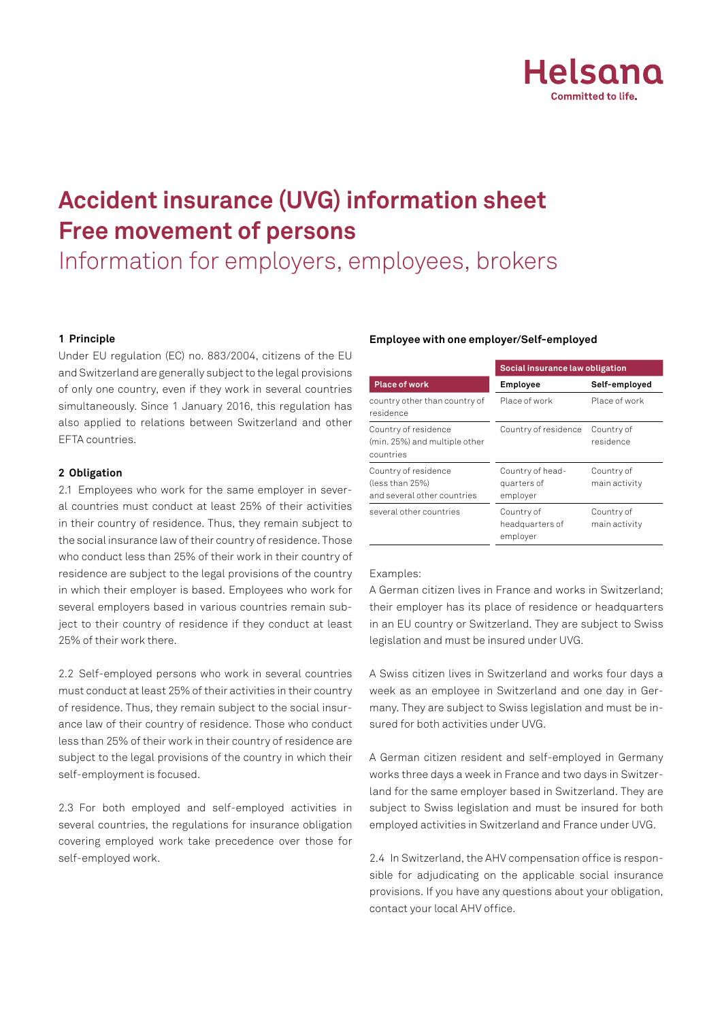

# **Accident insurance (UVG) information sheet Free movement of persons**

# Information for employers, employees, brokers

## **1 Principle**

Under EU regulation (EC) no. 883/2004, citizens of the EU and Switzerland are generally subject to the legal provisions of only one country, even if they work in several countries simultaneously. Since 1 January 2016, this regulation has also applied to relations between Switzerland and other EFTA countries.

## **2 Obligation**

2.1 Employees who work for the same employer in several countries must conduct at least 25% of their activities in their country of residence. Thus, they remain subject to the social insurance law of their country of residence. Those who conduct less than 25% of their work in their country of residence are subject to the legal provisions of the country in which their employer is based. Employees who work for several employers based in various countries remain subject to their country of residence if they conduct at least 25% of their work there.

2.2 Self-employed persons who work in several countries must conduct at least 25% of their activities in their country of residence. Thus, they remain subject to the social insurance law of their country of residence. Those who conduct less than 25% of their work in their country of residence are subject to the legal provisions of the country in which their self-employment is focused.

2.3 For both employed and self-employed activities in several countries, the regulations for insurance obligation covering employed work take precedence over those for self-employed work.

### **Employee with one employer/Self-employed**

|                                                                        | Social insurance law obligation             |                             |
|------------------------------------------------------------------------|---------------------------------------------|-----------------------------|
| <b>Place of work</b>                                                   | Employee                                    | Self-employed               |
| country other than country of<br>residence                             | Place of work                               | Place of work               |
| Country of residence<br>(min. 25%) and multiple other<br>countries     | Country of residence                        | Country of<br>residence     |
| Country of residence<br>(less than 25%)<br>and several other countries | Country of head-<br>quarters of<br>employer | Country of<br>main activity |
| several other countries                                                | Country of<br>headquarters of<br>employer   | Country of<br>main activity |

### Examples:

A German citizen lives in France and works in Switzerland; their employer has its place of residence or headquarters in an EU country or Switzerland. They are subject to Swiss legislation and must be insured under UVG.

A Swiss citizen lives in Switzerland and works four days a week as an employee in Switzerland and one day in Germany. They are subject to Swiss legislation and must be insured for both activities under UVG.

A German citizen resident and self-employed in Germany works three days a week in France and two days in Switzerland for the same employer based in Switzerland. They are subject to Swiss legislation and must be insured for both employed activities in Switzerland and France under UVG.

2.4 In Switzerland, the AHV compensation office is responsible for adjudicating on the applicable social insurance provisions. If you have any questions about your obligation, contact your local AHV office.